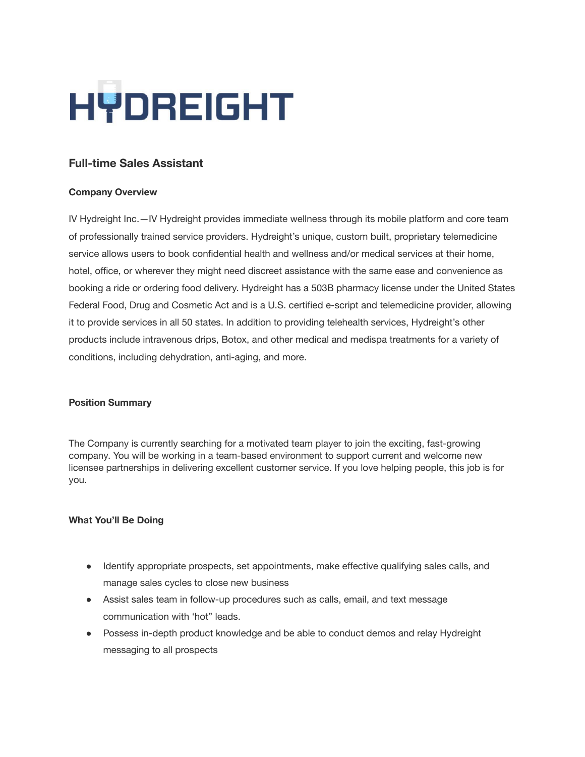

# **Full-time Sales Assistant**

#### **Company Overview**

IV Hydreight Inc.—IV [Hydreight](https://hydreight.com/) provides immediate wellness through its mobile platform and core team of professionally trained service providers. Hydreight's unique, custom built, proprietary telemedicine service allows users to book confidential health and wellness and/or medical services at their home, hotel, office, or wherever they might need discreet assistance with the same ease and convenience as booking a ride or ordering food delivery. Hydreight has a 503B pharmacy license under the United States Federal Food, Drug and Cosmetic Act and is a U.S. certified e‐script and telemedicine provider, allowing it to provide services in all 50 states. In addition to providing telehealth services, Hydreight's other products include intravenous drips, Botox, and other medical and medispa treatments for a variety of conditions, including dehydration, anti‐aging, and more.

#### **Position Summary**

The Company is currently searching for a motivated team player to join the exciting, fast-growing company. You will be working in a team-based environment to support current and welcome new licensee partnerships in delivering excellent customer service. If you love helping people, this job is for you.

#### **What You'll Be Doing**

- Identify appropriate prospects, set appointments, make effective qualifying sales calls, and manage sales cycles to close new business
- Assist sales team in follow-up procedures such as calls, email, and text message communication with 'hot" leads.
- Possess in-depth product knowledge and be able to conduct demos and relay Hydreight messaging to all prospects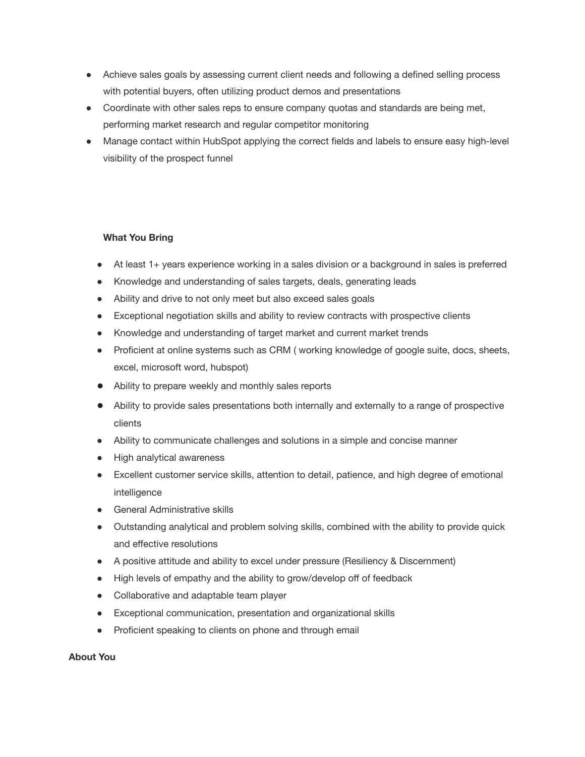- Achieve sales goals by assessing current client needs and following a defined selling process with potential buyers, often utilizing product demos and presentations
- Coordinate with other sales reps to ensure company quotas and standards are being met, performing market research and regular competitor monitoring
- Manage contact within HubSpot applying the correct fields and labels to ensure easy high-level visibility of the prospect funnel

## **What You Bring**

- At least 1+ years experience working in a sales division or a background in sales is preferred
- Knowledge and understanding of sales targets, deals, generating leads
- Ability and drive to not only meet but also exceed sales goals
- Exceptional negotiation skills and ability to review contracts with prospective clients
- Knowledge and understanding of target market and current market trends
- Proficient at online systems such as CRM ( working knowledge of google suite, docs, sheets, excel, microsoft word, hubspot)
- Ability to prepare weekly and monthly sales reports
- Ability to provide sales presentations both internally and externally to a range of prospective clients
- Ability to communicate challenges and solutions in a simple and concise manner
- High analytical awareness
- Excellent customer service skills, attention to detail, patience, and high degree of emotional intelligence
- General Administrative skills
- Outstanding analytical and problem solving skills, combined with the ability to provide quick and effective resolutions
- A positive attitude and ability to excel under pressure (Resiliency & Discernment)
- High levels of empathy and the ability to grow/develop off of feedback
- Collaborative and adaptable team player
- Exceptional communication, presentation and organizational skills
- Proficient speaking to clients on phone and through email

## **About You**